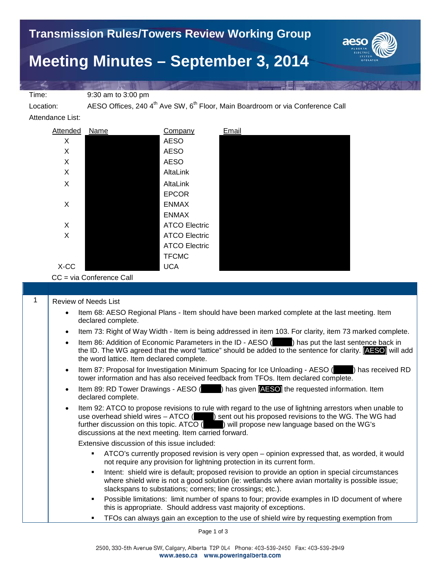

Time: 9:30 am to 3:00 pm

Location: AESO Offices, 240 4<sup>th</sup> Ave SW, 6<sup>th</sup> Floor, Main Boardroom or via Conference Call

Attendance List:

| Attended | Name | Company              | Email |
|----------|------|----------------------|-------|
| X        |      | <b>AESO</b>          |       |
| X        |      | <b>AESO</b>          |       |
| X        |      | <b>AESO</b>          |       |
| X        |      | AltaLink             |       |
| X        |      | AltaLink             |       |
|          |      | <b>EPCOR</b>         |       |
| X        |      | <b>ENMAX</b>         |       |
|          |      | <b>ENMAX</b>         |       |
| X        |      | <b>ATCO Electric</b> |       |
| X        |      | <b>ATCO Electric</b> |       |
|          |      | <b>ATCO Electric</b> |       |
|          |      | <b>TFCMC</b>         |       |
| X-CC     |      | <b>UCA</b>           |       |

CC = via Conference Call

1 | Review of Needs List

- Item 68: AESO Regional Plans Item should have been marked complete at the last meeting. Item declared complete.
- Item 73: Right of Way Width Item is being addressed in item 103. For clarity, item 73 marked complete.
- Item 86: Addition of Economic Parameters in the ID AESO (netable ) has put the last sentence back in the ID. The WG agreed that the word "lattice" should be added to the sentence for clarity. [AESO] will add the word lattice. Item declared complete.
- Item 87: Proposal for Investigation Minimum Spacing for Ice Unloading AESO (name) has received RD tower information and has also received feedback from TFOs. Item declared complete.
- Item 89: RD Tower Drawings AESO (  $\blacksquare$  ) has given **[AESO]** the requested information. Item declared complete.
- Item 92: ATCO to propose revisions to rule with regard to the use of lightning arrestors when unable to use overhead shield wires – ATCO (  $\qquad$  ) sent out his proposed revisions to the WG. The WG had further discussion on this topic. ATCO (\_\_\_\_\_) will propose new language based on the WG's discussions at the next meeting. Item carried forward.

Extensive discussion of this issue included:

- ATCO's currently proposed revision is very open opinion expressed that, as worded, it would not require any provision for lightning protection in its current form.
- **Intent:** shield wire is default; proposed revision to provide an option in special circumstances where shield wire is not a good solution (ie: wetlands where avian mortality is possible issue; slackspans to substations; corners; line crossings; etc.).
- Possible limitations: limit number of spans to four; provide examples in ID document of where this is appropriate. Should address vast majority of exceptions.
- TFOs can always gain an exception to the use of shield wire by requesting exemption from

Page 1 of 3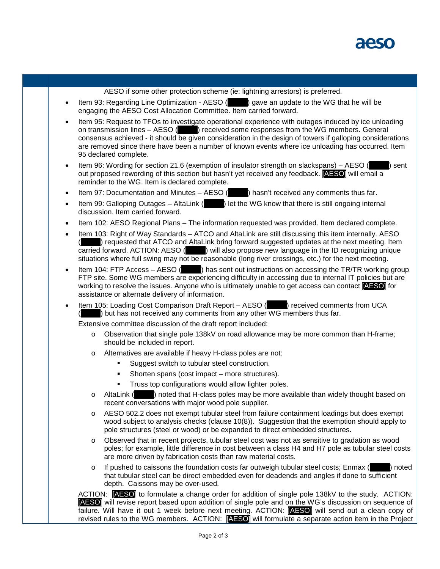

AESO if some other protection scheme (ie: lightning arrestors) is preferred.

- Item 93: Regarding Line Optimization AESO (2008) gave an update to the WG that he will be engaging the AESO Cost Allocation Committee. Item carried forward.
- Item 95: Request to TFOs to investigate operational experience with outages induced by ice unloading on transmission lines – AESO (edge) received some responses from the WG members. General consensus achieved - it should be given consideration in the design of towers if galloping considerations are removed since there have been a number of known events where ice unloading has occurred. Item 95 declared complete.
- Item 96: Wording for section 21.6 (exemption of insulator strength on slackspans) AESO ( $\Box$ ) sent out proposed rewording of this section but hasn't yet received any feedback. **[AESO]** will email a reminder to the WG. Item is declared complete.
- Item 97: Documentation and Minutes AESO  $($   $)$  hasn't received any comments thus far.
- Item 99: Galloping Outages AltaLink ( $\qquad$ ) let the WG know that there is still ongoing internal discussion. Item carried forward.
- Item 102: AESO Regional Plans The information requested was provided. Item declared complete.
- Item 103: Right of Way Standards ATCO and AltaLink are still discussing this item internally. AESO (Election 2) requested that ATCO and AltaLink bring forward suggested updates at the next meeting. Item carried forward. ACTION: AESO ( $\blacksquare$ ) will also propose new language in the ID recognizing unique ) will also propose new language in the ID recognizing unique situations where full swing may not be reasonable (long river crossings, etc.) for the next meeting.
- Item 104: FTP Access AESO () has sent out instructions on accessing the TR/TR working group FTP site. Some WG members are experiencing difficulty in accessing due to internal IT policies but are working to resolve the issues. Anyone who is ultimately unable to get access can contact **[AESO]** for assistance or alternate delivery of information.
- Item 105: Loading Cost Comparison Draft Report AESO (**Queen)** received comments from UCA ) but has not received any comments from any other  $\overline{WG}$  members thus far.

Extensive committee discussion of the draft report included:

- o Observation that single pole 138kV on road allowance may be more common than H-frame; should be included in report.
- o Alternatives are available if heavy H-class poles are not:
	- Suggest switch to tubular steel construction.
	- Shorten spans (cost impact more structures).
	- **Truss top configurations would allow lighter poles.**
- $\circ$  AltaLink () noted that H-class poles may be more available than widely thought based on recent conversations with major wood pole supplier.
- o AESO 502.2 does not exempt tubular steel from failure containment loadings but does exempt wood subject to analysis checks (clause 10(8)). Suggestion that the exemption should apply to pole structures (steel or wood) or be expanded to direct embedded structures.
- o Observed that in recent projects, tubular steel cost was not as sensitive to gradation as wood poles; for example, little difference in cost between a class H4 and H7 pole as tubular steel costs are more driven by fabrication costs than raw material costs.
- $\circ$  If pushed to caissons the foundation costs far outweigh tubular steel costs; Enmax ( $\circ$ ) noted that tubular steel can be direct embedded even for deadends and angles if done to sufficient depth. Caissons may be over-used.

ACTION: [AESO] to formulate a change order for addition of single pole 138kV to the study. ACTION: [AESO] will revise report based upon addition of single pole and on the WG's discussion on sequence of failure. Will have it out 1 week before next meeting. ACTION: **AESO** will send out a clean copy of revised rules to the WG members. ACTION: [AESO] will formulate a separate action item in the Project